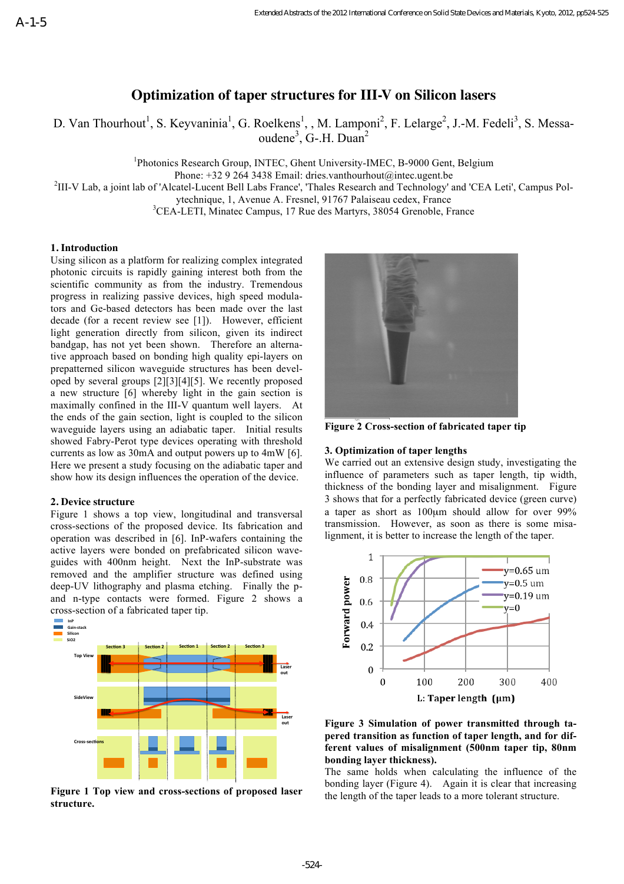# **Optimization of taper structures for III-V on Silicon lasers**

D. Van Thourhout<sup>1</sup>, S. Keyvaninia<sup>1</sup>, G. Roelkens<sup>1</sup>, , M. Lamponi<sup>2</sup>, F. Lelarge<sup>2</sup>, J.-M. Fedeli<sup>3</sup>, S. Messaoudene<sup>3</sup>, G-.H. Duan<sup>2</sup>

<sup>1</sup>Photonics Research Group, INTEC, Ghent University-IMEC, B-9000 Gent, Belgium

Phone: +32 9 264 3438 Email: dries.vanthourhout@intec.ugent.be

 $<sup>2</sup>III-V$  Lab, a joint lab of 'Alcatel-Lucent Bell Labs France', 'Thales Research and Technology' and 'CEA Leti', Campus Pol-</sup>

ytechnique, 1, Avenue A. Fresnel, 91767 Palaiseau cedex, France

<sup>3</sup>CEA-LETI, Minatec Campus, 17 Rue des Martyrs, 38054 Grenoble, France

## **1. Introduction**

Using silicon as a platform for realizing complex integrated photonic circuits is rapidly gaining interest both from the scientific community as from the industry. Tremendous progress in realizing passive devices, high speed modulators and Ge-based detectors has been made over the last decade (for a recent review see [1]). However, efficient light generation directly from silicon, given its indirect bandgap, has not yet been shown. Therefore an alternative approach based on bonding high quality epi-layers on prepatterned silicon waveguide structures has been developed by several groups [2][3][4][5]. We recently proposed a new structure [6] whereby light in the gain section is maximally confined in the III-V quantum well layers. At the ends of the gain section, light is coupled to the silicon waveguide layers using an adiabatic taper. Initial results showed Fabry-Perot type devices operating with threshold currents as low as 30mA and output powers up to 4mW [6]. Here we present a study focusing on the adiabatic taper and show how its design influences the operation of the device.

### **2. Device structure**

Figure 1 shows a top view, longitudinal and transversal cross-sections of the proposed device. Its fabrication and operation was described in [6]. InP-wafers containing the active layers were bonded on prefabricated silicon waveguides with 400nm height. Next the InP-substrate was removed and the amplifier structure was defined using deep-UV lithography and plasma etching. Finally the pand n-type contacts were formed. Figure 2 shows a cross-section of a fabricated taper tip.



Figure 1 Top view and cross-sections of proposed laser  $\mathbf{r}_{\mathbf{r}}$  **a**  $\mathbf{r}_{\mathbf{r}}$  and  $\mathbf{r}_{\mathbf{r}}$ **structure.**



**Figure 2 Cross-section of fabricated taper tip**

### **3. Optimization of taper lengths**

We carried out an extensive design study, investigating the influence of parameters such as taper length, tip width, thickness of the bonding layer and misalignment. Figure 3 shows that for a perfectly fabricated device (green curve) a taper as short as 100µm should allow for over 99% transmission. However, as soon as there is some misalignment, it is better to increase the length of the taper.





The same holds when calculating the influence of the bonding layer (Figure 4). Again it is clear that increasing the length of the taper leads to a more tolerant structure.